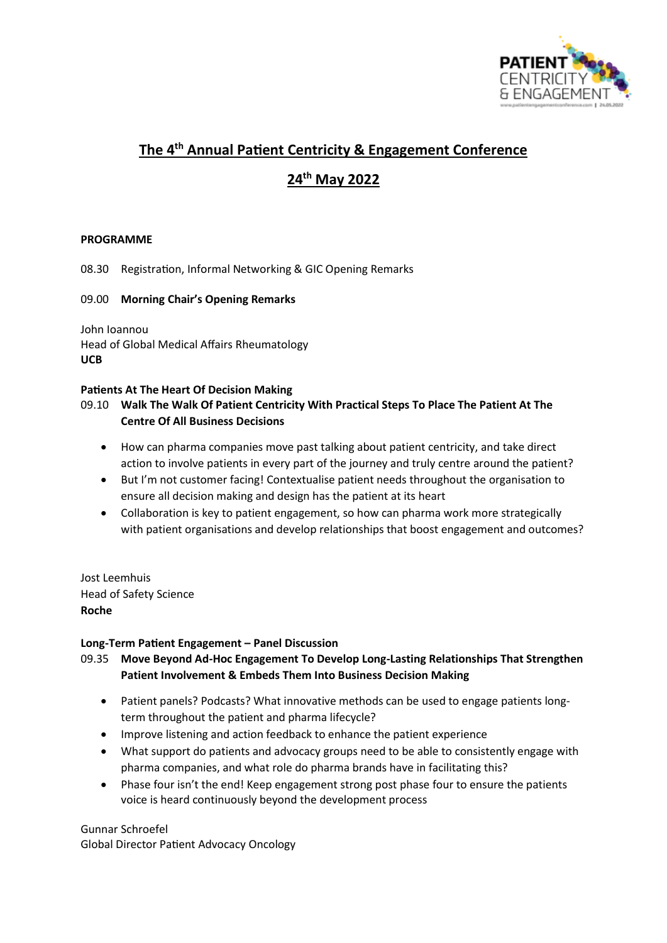

# **The 4th Annual Patient Centricity & Engagement Conference**

# **24th May 2022**

## **PROGRAMME**

08.30 Registration, Informal Networking & GIC Opening Remarks

#### 09.00 **Morning Chair's Opening Remarks**

John Ioannou Head of Global Medical Affairs Rheumatology **UCB**

#### **Patients At The Heart Of Decision Making**

# 09.10 **Walk The Walk Of Patient Centricity With Practical Steps To Place The Patient At The Centre Of All Business Decisions**

- How can pharma companies move past talking about patient centricity, and take direct action to involve patients in every part of the journey and truly centre around the patient?
- But I'm not customer facing! Contextualise patient needs throughout the organisation to ensure all decision making and design has the patient at its heart
- Collaboration is key to patient engagement, so how can pharma work more strategically with patient organisations and develop relationships that boost engagement and outcomes?

Jost Leemhuis Head of Safety Science **Roche**

#### **Long-Term Patient Engagement – Panel Discussion**

# 09.35 **Move Beyond Ad-Hoc Engagement To Develop Long-Lasting Relationships That Strengthen Patient Involvement & Embeds Them Into Business Decision Making**

- Patient panels? Podcasts? What innovative methods can be used to engage patients longterm throughout the patient and pharma lifecycle?
- Improve listening and action feedback to enhance the patient experience
- What support do patients and advocacy groups need to be able to consistently engage with pharma companies, and what role do pharma brands have in facilitating this?
- Phase four isn't the end! Keep engagement strong post phase four to ensure the patients voice is heard continuously beyond the development process

Gunnar Schroefel Global Director Patient Advocacy Oncology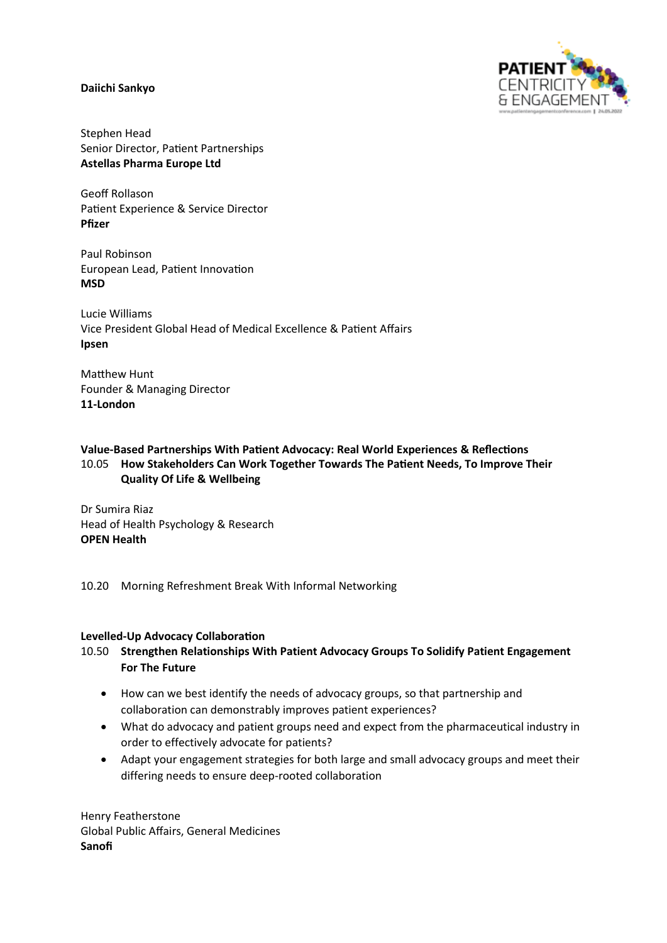#### **Daiichi Sankyo**



Stephen Head Senior Director, Patient Partnerships **Astellas Pharma Europe Ltd**

Geoff Rollason Patient Experience & Service Director **Pfizer**

Paul Robinson European Lead, Patient Innovation **MSD**

Lucie Williams Vice President Global Head of Medical Excellence & Patient Affairs **Ipsen**

Matthew Hunt Founder & Managing Director **11-London**

#### **Value-Based Partnerships With Patient Advocacy: Real World Experiences & Reflections** 10.05 **How Stakeholders Can Work Together Towards The Patient Needs, To Improve Their Quality Of Life & Wellbeing**

Dr Sumira Riaz Head of Health Psychology & Research **OPEN Health**

#### 10.20 Morning Refreshment Break With Informal Networking

#### **Levelled-Up Advocacy Collaboration**

## 10.50 **Strengthen Relationships With Patient Advocacy Groups To Solidify Patient Engagement For The Future**

- How can we best identify the needs of advocacy groups, so that partnership and collaboration can demonstrably improves patient experiences?
- What do advocacy and patient groups need and expect from the pharmaceutical industry in order to effectively advocate for patients?
- Adapt your engagement strategies for both large and small advocacy groups and meet their differing needs to ensure deep-rooted collaboration

Henry Featherstone Global Public Affairs, General Medicines **Sanofi**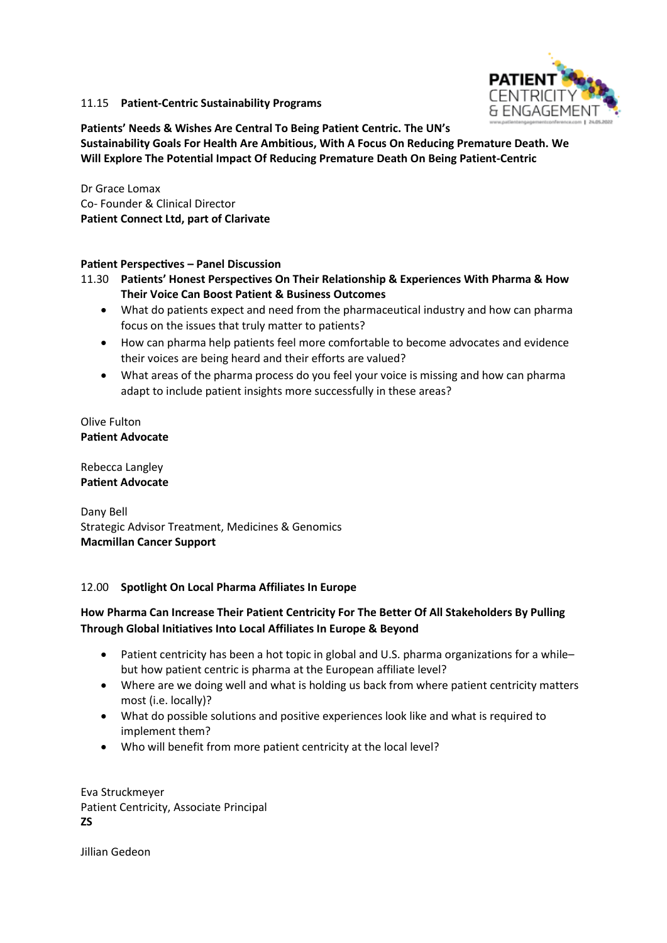

## 11.15 **Patient-Centric Sustainability Programs**

**Patients' Needs & Wishes Are Central To Being Patient Centric. The UN's Sustainability Goals For Health Are Ambitious, With A Focus On Reducing Premature Death. We Will Explore The Potential Impact Of Reducing Premature Death On Being Patient-Centric**

Dr Grace Lomax Co- Founder & Clinical Director **Patient Connect Ltd, part of Clarivate**

## **Patient Perspectives – Panel Discussion**

11.30 **Patients' Honest Perspectives On Their Relationship & Experiences With Pharma & How Their Voice Can Boost Patient & Business Outcomes**

- What do patients expect and need from the pharmaceutical industry and how can pharma focus on the issues that truly matter to patients?
- How can pharma help patients feel more comfortable to become advocates and evidence their voices are being heard and their efforts are valued?
- What areas of the pharma process do you feel your voice is missing and how can pharma adapt to include patient insights more successfully in these areas?

Olive Fulton **Patient Advocate**

Rebecca Langley **Patient Advocate**

Dany Bell Strategic Advisor Treatment, Medicines & Genomics **Macmillan Cancer Support**

#### 12.00 **Spotlight On Local Pharma Affiliates In Europe**

# **How Pharma Can Increase Their Patient Centricity For The Better Of All Stakeholders By Pulling Through Global Initiatives Into Local Affiliates In Europe & Beyond**

- Patient centricity has been a hot topic in global and U.S. pharma organizations for a whilebut how patient centric is pharma at the European affiliate level?
- Where are we doing well and what is holding us back from where patient centricity matters most (i.e. locally)?
- What do possible solutions and positive experiences look like and what is required to implement them?
- Who will benefit from more patient centricity at the local level?

Eva Struckmeyer Patient Centricity, Associate Principal **ZS**

Jillian Gedeon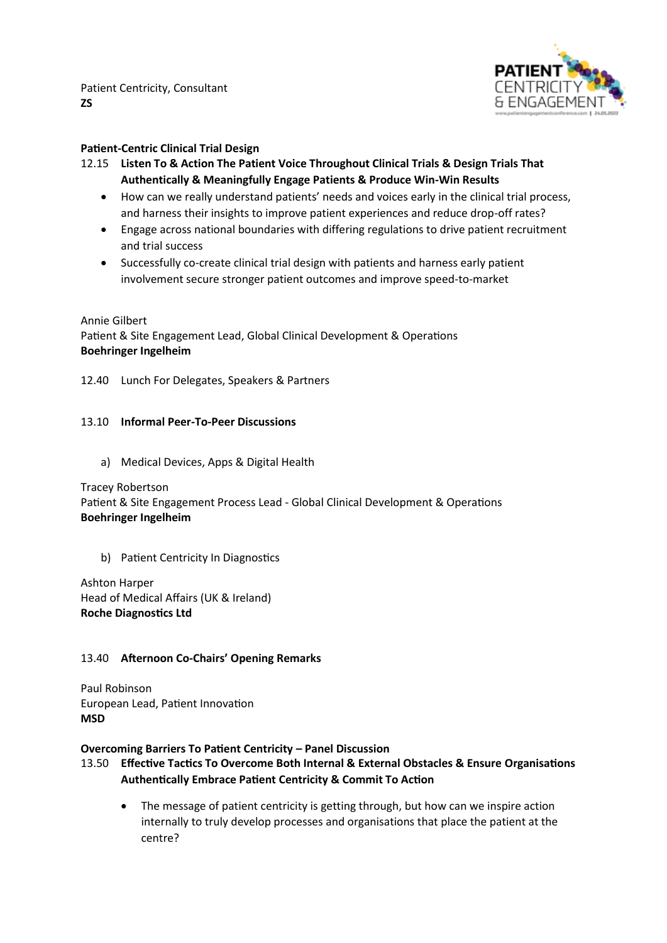

## **Patient-Centric Clinical Trial Design**

- 12.15 **Listen To & Action The Patient Voice Throughout Clinical Trials & Design Trials That Authentically & Meaningfully Engage Patients & Produce Win-Win Results**
	- How can we really understand patients' needs and voices early in the clinical trial process, and harness their insights to improve patient experiences and reduce drop-off rates?
	- Engage across national boundaries with differing regulations to drive patient recruitment and trial success
	- Successfully co-create clinical trial design with patients and harness early patient involvement secure stronger patient outcomes and improve speed-to-market

Annie Gilbert Patient & Site Engagement Lead, Global Clinical Development & Operations **Boehringer Ingelheim**

12.40 Lunch For Delegates, Speakers & Partners

#### 13.10 **Informal Peer-To-Peer Discussions**

a) Medical Devices, Apps & Digital Health

Tracey Robertson

Patient & Site Engagement Process Lead - Global Clinical Development & Operations **Boehringer Ingelheim**

b) Patient Centricity In Diagnostics

Ashton Harper Head of Medical Affairs (UK & Ireland) **Roche Diagnostics Ltd**

## 13.40 **Afternoon Co-Chairs' Opening Remarks**

Paul Robinson European Lead, Patient Innovation **MSD**

## **Overcoming Barriers To Patient Centricity – Panel Discussion**

- 13.50 **Effective Tactics To Overcome Both Internal & External Obstacles & Ensure Organisations Authentically Embrace Patient Centricity & Commit To Action**
	- The message of patient centricity is getting through, but how can we inspire action internally to truly develop processes and organisations that place the patient at the centre?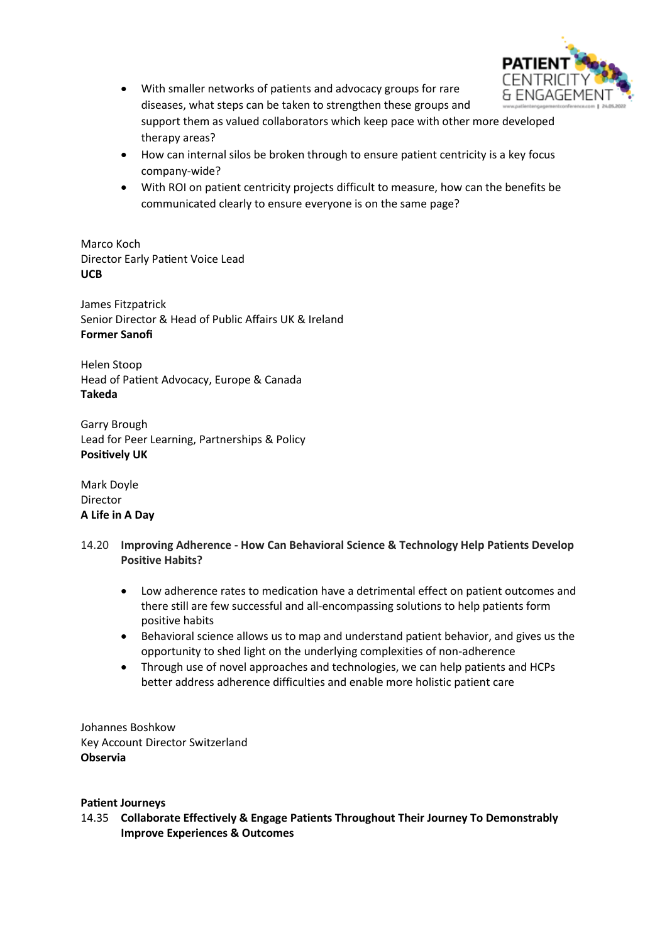

- With smaller networks of patients and advocacy groups for rare diseases, what steps can be taken to strengthen these groups and support them as valued collaborators which keep pace with other more developed therapy areas?
- How can internal silos be broken through to ensure patient centricity is a key focus company-wide?
- With ROI on patient centricity projects difficult to measure, how can the benefits be communicated clearly to ensure everyone is on the same page?

Marco Koch Director Early Patient Voice Lead **UCB**

James Fitzpatrick Senior Director & Head of Public Affairs UK & Ireland **Former Sanofi**

Helen Stoop Head of Patient Advocacy, Europe & Canada **Takeda**

Garry Brough Lead for Peer Learning, Partnerships & Policy **Positively UK**

Mark Doyle Director **A Life in A Day**

- 14.20 **Improving Adherence - How Can Behavioral Science & Technology Help Patients Develop Positive Habits?**
	- Low adherence rates to medication have a detrimental effect on patient outcomes and there still are few successful and all-encompassing solutions to help patients form positive habits
	- Behavioral science allows us to map and understand patient behavior, and gives us the opportunity to shed light on the underlying complexities of non-adherence
	- Through use of novel approaches and technologies, we can help patients and HCPs better address adherence difficulties and enable more holistic patient care

Johannes Boshkow Key Account Director Switzerland **Observia**

## **Patient Journeys**

14.35 **Collaborate Effectively & Engage Patients Throughout Their Journey To Demonstrably Improve Experiences & Outcomes**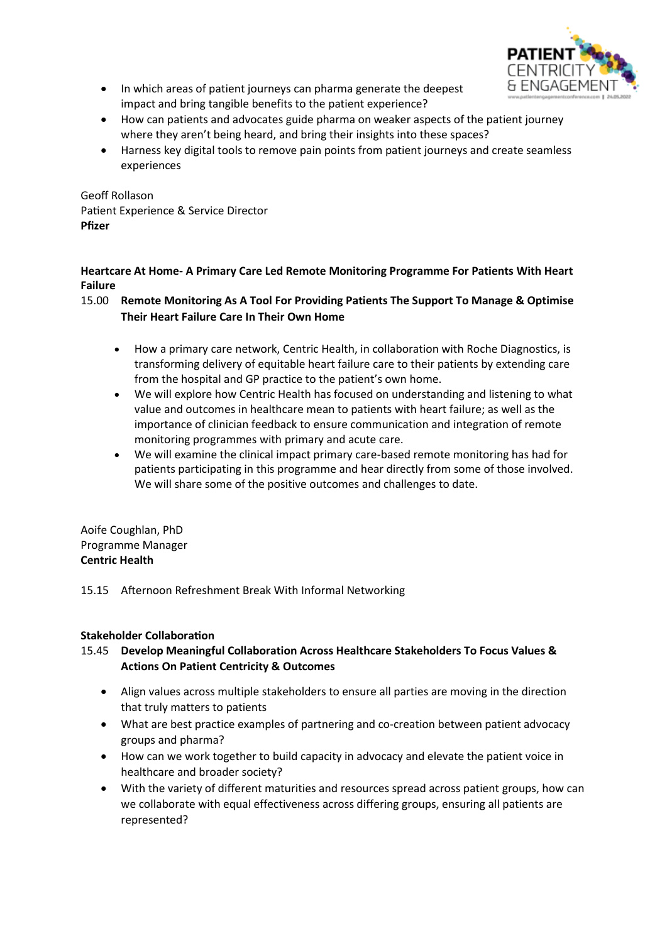

- In which areas of patient journeys can pharma generate the deepest impact and bring tangible benefits to the patient experience?
- How can patients and advocates guide pharma on weaker aspects of the patient journey where they aren't being heard, and bring their insights into these spaces?
- Harness key digital tools to remove pain points from patient journeys and create seamless experiences

Geoff Rollason Patient Experience & Service Director **Pfizer**

## **Heartcare At Home- A Primary Care Led Remote Monitoring Programme For Patients With Heart Failure**

## 15.00 **Remote Monitoring As A Tool For Providing Patients The Support To Manage & Optimise Their Heart Failure Care In Their Own Home**

- How a primary care network, Centric Health, in collaboration with Roche Diagnostics, is transforming delivery of equitable heart failure care to their patients by extending care from the hospital and GP practice to the patient's own home.
- We will explore how Centric Health has focused on understanding and listening to what value and outcomes in healthcare mean to patients with heart failure; as well as the importance of clinician feedback to ensure communication and integration of remote monitoring programmes with primary and acute care.
- We will examine the clinical impact primary care-based remote monitoring has had for patients participating in this programme and hear directly from some of those involved. We will share some of the positive outcomes and challenges to date.

Aoife Coughlan, PhD Programme Manager **Centric Health** 

15.15 Afternoon Refreshment Break With Informal Networking

# **Stakeholder Collaboration**

# 15.45 **Develop Meaningful Collaboration Across Healthcare Stakeholders To Focus Values & Actions On Patient Centricity & Outcomes**

- Align values across multiple stakeholders to ensure all parties are moving in the direction that truly matters to patients
- What are best practice examples of partnering and co-creation between patient advocacy groups and pharma?
- How can we work together to build capacity in advocacy and elevate the patient voice in healthcare and broader society?
- With the variety of different maturities and resources spread across patient groups, how can we collaborate with equal effectiveness across differing groups, ensuring all patients are represented?